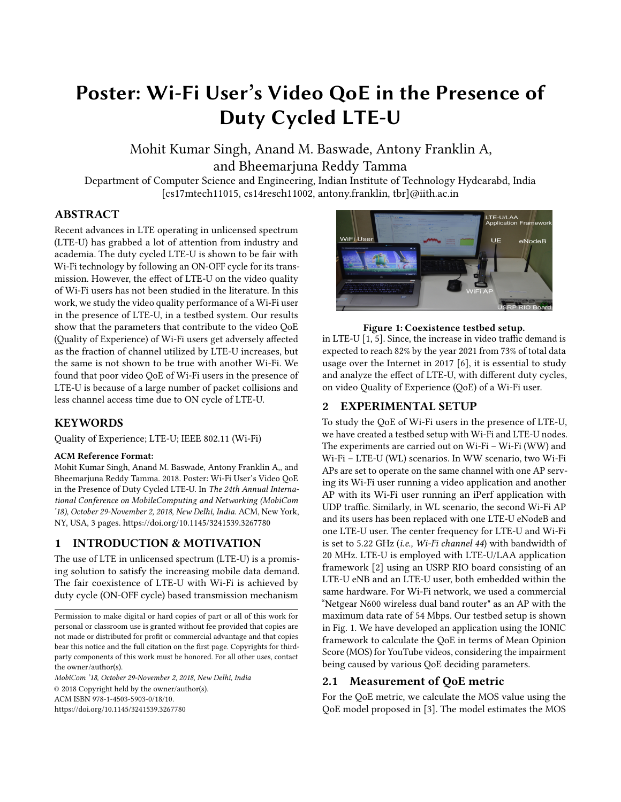# Poster: Wi-Fi User's Video QoE in the Presence of Duty Cycled LTE-U

Mohit Kumar Singh, Anand M. Baswade, Antony Franklin A, and Bheemarjuna Reddy Tamma

Department of Computer Science and Engineering, Indian Institute of Technology Hydearabd, India [cs17mtech11015, cs14resch11002, antony.franklin, tbr]@iith.ac.in

# ABSTRACT

Recent advances in LTE operating in unlicensed spectrum (LTE-U) has grabbed a lot of attention from industry and academia. The duty cycled LTE-U is shown to be fair with Wi-Fi technology by following an ON-OFF cycle for its transmission. However, the effect of LTE-U on the video quality of Wi-Fi users has not been studied in the literature. In this work, we study the video quality performance of a Wi-Fi user in the presence of LTE-U, in a testbed system. Our results show that the parameters that contribute to the video QoE (Quality of Experience) of Wi-Fi users get adversely affected as the fraction of channel utilized by LTE-U increases, but the same is not shown to be true with another Wi-Fi. We found that poor video QoE of Wi-Fi users in the presence of LTE-U is because of a large number of packet collisions and less channel access time due to ON cycle of LTE-U.

# **KEYWORDS**

Quality of Experience; LTE-U; IEEE 802.11 (Wi-Fi)

#### ACM Reference Format:

Mohit Kumar Singh, Anand M. Baswade, Antony Franklin A,, and Bheemarjuna Reddy Tamma. 2018. Poster: Wi-Fi User's Video QoE in the Presence of Duty Cycled LTE-U. In The 24th Annual International Conference on MobileComputing and Networking (MobiCom '18), October 29-November 2, 2018, New Delhi, India. ACM, New York, NY, USA, [3](#page-2-0) pages.<https://doi.org/10.1145/3241539.3267780>

# 1 INTRODUCTION & MOTIVATION

The use of LTE in unlicensed spectrum (LTE-U) is a promising solution to satisfy the increasing mobile data demand. The fair coexistence of LTE-U with Wi-Fi is achieved by duty cycle (ON-OFF cycle) based transmission mechanism

MobiCom '18, October 29-November 2, 2018, New Delhi, India © 2018 Copyright held by the owner/author(s). ACM ISBN 978-1-4503-5903-0/18/10. <https://doi.org/10.1145/3241539.3267780>

<span id="page-0-0"></span>

#### Figure 1: Coexistence testbed setup.

in LTE-U [\[1,](#page-2-1) [5\]](#page-2-2). Since, the increase in video traffic demand is expected to reach 82% by the year 2021 from 73% of total data usage over the Internet in 2017 [\[6\]](#page-2-3), it is essential to study and analyze the effect of LTE-U, with different duty cycles, on video Quality of Experience (QoE) of a Wi-Fi user.

# <span id="page-0-1"></span>2 EXPERIMENTAL SETUP

To study the QoE of Wi-Fi users in the presence of LTE-U, we have created a testbed setup with Wi-Fi and LTE-U nodes. The experiments are carried out on Wi-Fi – Wi-Fi (WW) and Wi-Fi – LTE-U (WL) scenarios. In WW scenario, two Wi-Fi APs are set to operate on the same channel with one AP serving its Wi-Fi user running a video application and another AP with its Wi-Fi user running an iPerf application with UDP traffic. Similarly, in WL scenario, the second Wi-Fi AP and its users has been replaced with one LTE-U eNodeB and one LTE-U user. The center frequency for LTE-U and Wi-Fi is set to 5.22 GHz (i.e., Wi-Fi channel 44) with bandwidth of 20 MHz. LTE-U is employed with LTE-U/LAA application framework [\[2\]](#page-2-4) using an USRP RIO board consisting of an LTE-U eNB and an LTE-U user, both embedded within the same hardware. For Wi-Fi network, we used a commercial "Netgear N600 wireless dual band router" as an AP with the maximum data rate of 54 Mbps. Our testbed setup is shown in Fig. [1.](#page-0-0) We have developed an application using the IONIC framework to calculate the QoE in terms of Mean Opinion Score (MOS) for YouTube videos, considering the impairment being caused by various QoE deciding parameters.

# 2.1 Measurement of QoE metric

For the QoE metric, we calculate the MOS value using the QoE model proposed in [\[3\]](#page-2-5). The model estimates the MOS

Permission to make digital or hard copies of part or all of this work for personal or classroom use is granted without fee provided that copies are not made or distributed for profit or commercial advantage and that copies bear this notice and the full citation on the first page. Copyrights for thirdparty components of this work must be honored. For all other uses, contact the owner/author(s).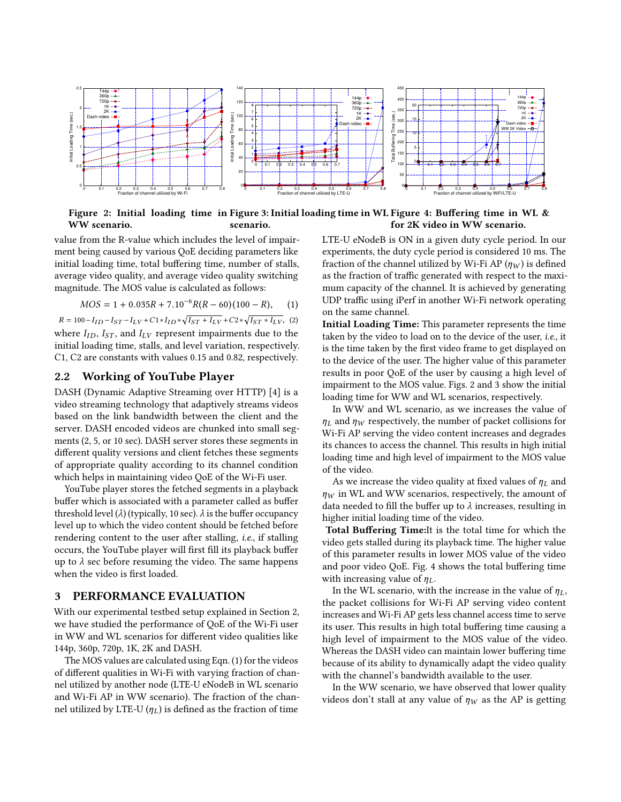<span id="page-1-1"></span>

Figure 2: Initial loading time in Figure 3: Initial loading time in WL Figure 4: Buffering time in WL & WW scenario. scenario. for 2K video in WW scenario.

value from the R-value which includes the level of impairment being caused by various QoE deciding parameters like initial loading time, total buffering time, number of stalls, average video quality, and average video quality switching magnitude. The MOS value is calculated as follows:

<span id="page-1-0"></span>
$$
MOS = 1 + 0.035R + 7.10^{-6}R(R - 60)(100 - R), \quad (1)
$$

 $MOS = 1 + 0.035R + 7.10^{-6}R(R - 60)(100 - R),$  (1)<br>  $R = 100 - I_{ID} - I_{ST} - I_{LV} + C1 * I_{ID} * \sqrt{I_{ST} + I_{LV}} + C2 * \sqrt{I_{ST} * I_{LV}},$  (2) where  $I_{ID}$ ,  $I_{ST}$ , and  $I_{LV}$  represent impairments due to the initial loading time, stalls, and level variation, respectively. C1, C2 are constants with values 0.15 and 0.82, respectively.

#### 2.2 Working of YouTube Player

DASH (Dynamic Adaptive Streaming over HTTP) [\[4\]](#page-2-6) is a video streaming technology that adaptively streams videos based on the link bandwidth between the client and the server. DASH encoded videos are chunked into small segments (2, 5, or 10 sec). DASH server stores these segments in different quality versions and client fetches these segments of appropriate quality according to its channel condition which helps in maintaining video QoE of the Wi-Fi user.

YouTube player stores the fetched segments in a playback buffer which is associated with a parameter called as buffer threshold level ( $\lambda$ ) (typically, 10 sec).  $\lambda$  is the buffer occupancy level up to which the video content should be fetched before rendering content to the user after stalling, i.e., if stalling occurs, the YouTube player will first fill its playback buffer up to  $\lambda$  sec before resuming the video. The same happens when the video is first loaded.

### 3 PERFORMANCE EVALUATION

With our experimental testbed setup explained in Section [2,](#page-0-1) we have studied the performance of QoE of the Wi-Fi user in WW and WL scenarios for different video qualities like 144p, 360p, 720p, 1K, 2K and DASH.

The MOS values are calculated using Eqn. [\(1\)](#page-1-0) for the videos of different qualities in Wi-Fi with varying fraction of channel utilized by another node (LTE-U eNodeB in WL scenario and Wi-Fi AP in WW scenario). The fraction of the channel utilized by LTE-U  $(\eta_L)$  is defined as the fraction of time

LTE-U eNodeB is ON in a given duty cycle period. In our experiments, the duty cycle period is considered 10 ms. The fraction of the channel utilized by Wi-Fi AP  $(\eta_W)$  is defined as the fraction of traffic generated with respect to the maximum capacity of the channel. It is achieved by generating UDP traffic using iPerf in another Wi-Fi network operating on the same channel.

Initial Loading Time: This parameter represents the time taken by the video to load on to the device of the user, i.e., it is the time taken by the first video frame to get displayed on to the device of the user. The higher value of this parameter results in poor QoE of the user by causing a high level of impairment to the MOS value. Figs. [2](#page-1-1) and [3](#page-1-1) show the initial loading time for WW and WL scenarios, respectively.

In WW and WL scenario, as we increases the value of  $\eta_L$  and  $\eta_W$  respectively, the number of packet collisions for Wi-Fi AP serving the video content increases and degrades its chances to access the channel. This results in high initial loading time and high level of impairment to the MOS value of the video.

As we increase the video quality at fixed values of  $\eta_L$  and  $\eta_W$  in WL and WW scenarios, respectively, the amount of data needed to fill the buffer up to  $\lambda$  increases, resulting in higher initial loading time of the video.

Total Buffering Time:It is the total time for which the video gets stalled during its playback time. The higher value of this parameter results in lower MOS value of the video and poor video QoE. Fig. [4](#page-1-1) shows the total buffering time with increasing value of  $\eta_L$ .

In the WL scenario, with the increase in the value of  $\eta_L$ , the packet collisions for Wi-Fi AP serving video content increases and Wi-Fi AP gets less channel access time to serve its user. This results in high total buffering time causing a high level of impairment to the MOS value of the video. Whereas the DASH video can maintain lower buffering time because of its ability to dynamically adapt the video quality with the channel's bandwidth available to the user.

In the WW scenario, we have observed that lower quality videos don't stall at any value of  $\eta_W$  as the AP is getting